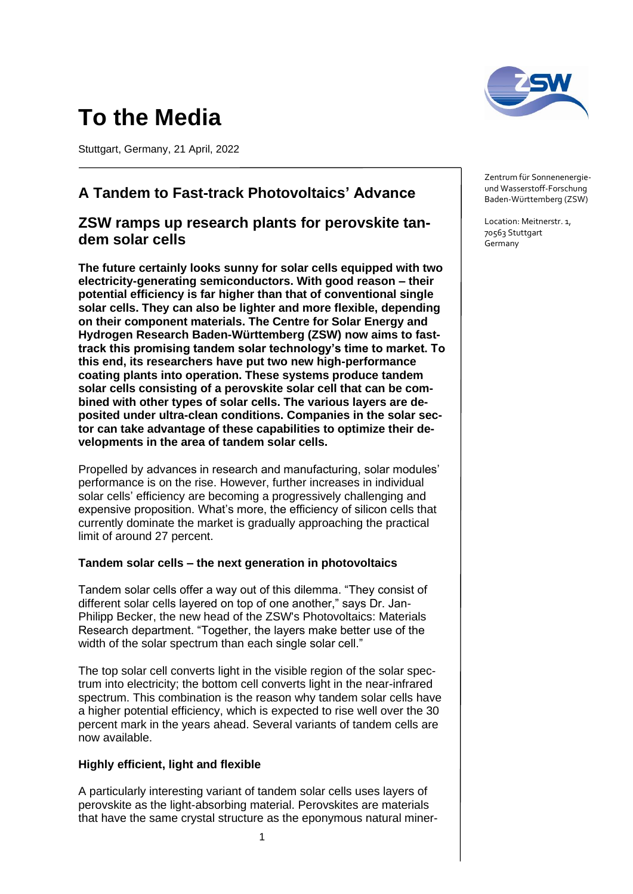# **To the Media**

Stuttgart, Germany, 21 April, 2022

# **A Tandem to Fast-track Photovoltaics' Advance**

## **ZSW ramps up research plants for perovskite tandem solar cells**

**The future certainly looks sunny for solar cells equipped with two electricity-generating semiconductors. With good reason – their potential efficiency is far higher than that of conventional single solar cells. They can also be lighter and more flexible, depending on their component materials. The Centre for Solar Energy and Hydrogen Research Baden-Württemberg (ZSW) now aims to fasttrack this promising tandem solar technology's time to market. To this end, its researchers have put two new high-performance coating plants into operation. These systems produce tandem solar cells consisting of a perovskite solar cell that can be combined with other types of solar cells. The various layers are deposited under ultra-clean conditions. Companies in the solar sector can take advantage of these capabilities to optimize their developments in the area of tandem solar cells.**

Propelled by advances in research and manufacturing, solar modules' performance is on the rise. However, further increases in individual solar cells' efficiency are becoming a progressively challenging and expensive proposition. What's more, the efficiency of silicon cells that currently dominate the market is gradually approaching the practical limit of around 27 percent.

### **Tandem solar cells – the next generation in photovoltaics**

Tandem solar cells offer a way out of this dilemma. "They consist of different solar cells layered on top of one another," says Dr. Jan-Philipp Becker, the new head of the ZSW's Photovoltaics: Materials Research department. "Together, the layers make better use of the width of the solar spectrum than each single solar cell."

The top solar cell converts light in the visible region of the solar spectrum into electricity; the bottom cell converts light in the near-infrared spectrum. This combination is the reason why tandem solar cells have a higher potential efficiency, which is expected to rise well over the 30 percent mark in the years ahead. Several variants of tandem cells are now available.

### **Highly efficient, light and flexible**

A particularly interesting variant of tandem solar cells uses layers of perovskite as the light-absorbing material. Perovskites are materials that have the same crystal structure as the eponymous natural miner-



Zentrum für Sonnenenergieund Wasserstoff-Forschung Baden-Württemberg (ZSW)

Location: Meitnerstr. 1, 70563 Stuttgart Germany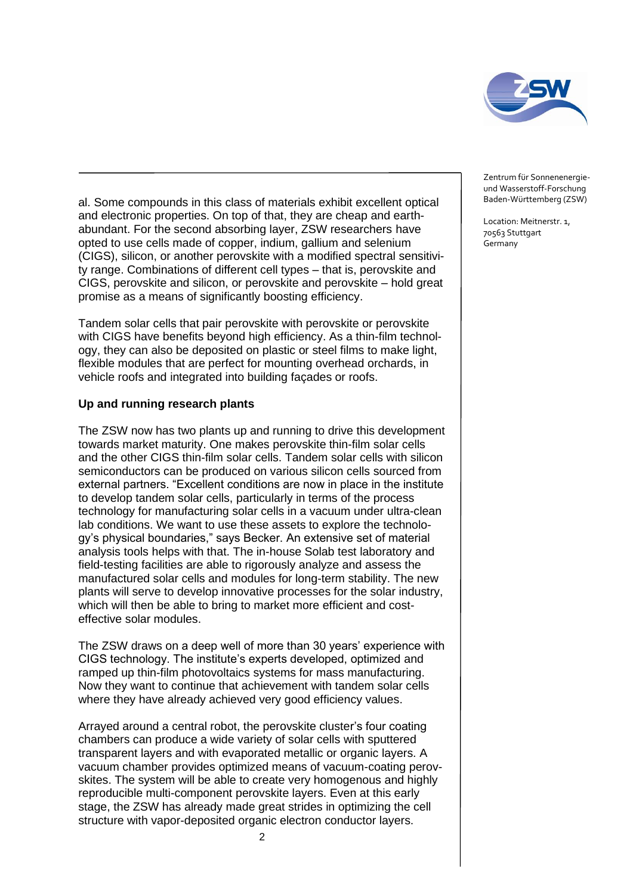

al. Some compounds in this class of materials exhibit excellent optical and electronic properties. On top of that, they are cheap and earthabundant. For the second absorbing layer, ZSW researchers have opted to use cells made of copper, indium, gallium and selenium (CIGS), silicon, or another perovskite with a modified spectral sensitivity range. Combinations of different cell types – that is, perovskite and CIGS, perovskite and silicon, or perovskite and perovskite – hold great promise as a means of significantly boosting efficiency.

Tandem solar cells that pair perovskite with perovskite or perovskite with CIGS have benefits beyond high efficiency. As a thin-film technology, they can also be deposited on plastic or steel films to make light, flexible modules that are perfect for mounting overhead orchards, in vehicle roofs and integrated into building façades or roofs.

#### **Up and running research plants**

The ZSW now has two plants up and running to drive this development towards market maturity. One makes perovskite thin-film solar cells and the other CIGS thin-film solar cells. Tandem solar cells with silicon semiconductors can be produced on various silicon cells sourced from external partners. "Excellent conditions are now in place in the institute to develop tandem solar cells, particularly in terms of the process technology for manufacturing solar cells in a vacuum under ultra-clean lab conditions. We want to use these assets to explore the technology's physical boundaries," says Becker. An extensive set of material analysis tools helps with that. The in-house Solab test laboratory and field-testing facilities are able to rigorously analyze and assess the manufactured solar cells and modules for long-term stability. The new plants will serve to develop innovative processes for the solar industry, which will then be able to bring to market more efficient and costeffective solar modules.

The ZSW draws on a deep well of more than 30 years' experience with CIGS technology. The institute's experts developed, optimized and ramped up thin-film photovoltaics systems for mass manufacturing. Now they want to continue that achievement with tandem solar cells where they have already achieved very good efficiency values.

Arrayed around a central robot, the perovskite cluster's four coating chambers can produce a wide variety of solar cells with sputtered transparent layers and with evaporated metallic or organic layers. A vacuum chamber provides optimized means of vacuum-coating perovskites. The system will be able to create very homogenous and highly reproducible multi-component perovskite layers. Even at this early stage, the ZSW has already made great strides in optimizing the cell structure with vapor-deposited organic electron conductor layers.

Zentrum für Sonnenenergieund Wasserstoff-Forschung Baden-Württemberg (ZSW)

Location: Meitnerstr. 1, 70563 Stuttgart Germany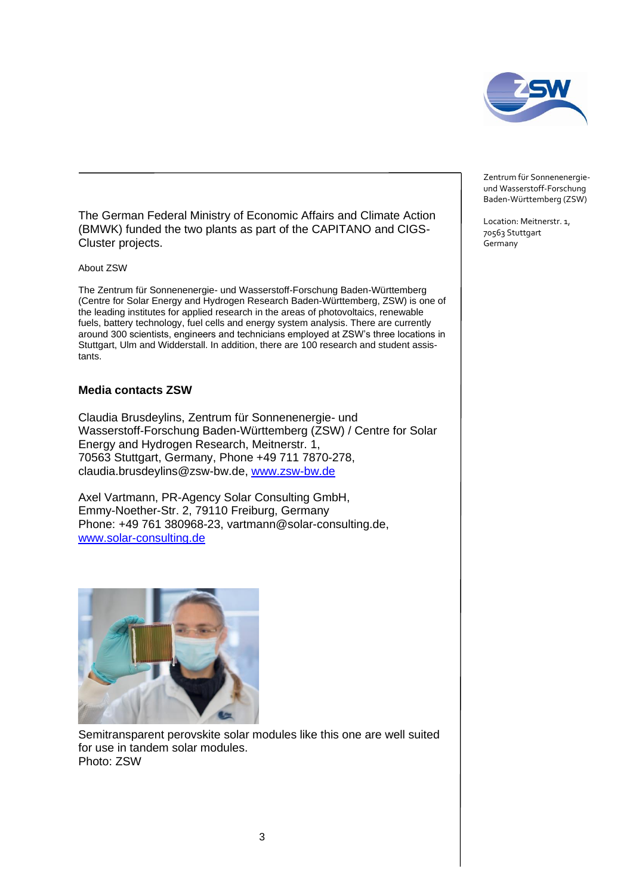

The German Federal Ministry of Economic Affairs and Climate Action (BMWK) funded the two plants as part of the CAPITANO and CIGS-Cluster projects.

About ZSW

The Zentrum für Sonnenenergie- und Wasserstoff-Forschung Baden-Württemberg (Centre for Solar Energy and Hydrogen Research Baden-Württemberg, ZSW) is one of the leading institutes for applied research in the areas of photovoltaics, renewable fuels, battery technology, fuel cells and energy system analysis. There are currently around 300 scientists, engineers and technicians employed at ZSW's three locations in Stuttgart, Ulm and Widderstall. In addition, there are 100 research and student assistants.

#### **Media contacts ZSW**

Claudia Brusdeylins, Zentrum für Sonnenenergie- und Wasserstoff-Forschung Baden-Württemberg (ZSW) / Centre for Solar Energy and Hydrogen Research, Meitnerstr. 1, 70563 Stuttgart, Germany, Phone +49 711 7870-278, claudia.brusdeylins@zsw-bw.de, [www.zsw-bw.de](http://www.zsw-bw.de/)

Axel Vartmann, PR-Agency Solar Consulting GmbH, Emmy-Noether-Str. 2, 79110 Freiburg, Germany Phone: +49 761 380968-23, vartmann@solar-consulting.de, [www.solar-consulting.de](http://www.solar-consulting.de/)



Semitransparent perovskite solar modules like this one are well suited for use in tandem solar modules. Photo: ZSW

Zentrum für Sonnenenergieund Wasserstoff-Forschung Baden-Württemberg (ZSW)

Location: Meitnerstr. 1, 70563 Stuttgart Germany